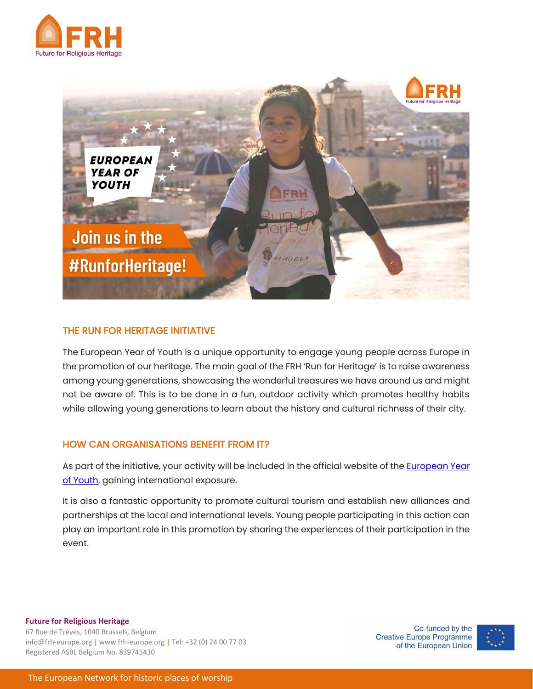



# THE RUN FOR HERITAGE INITIATIVE

The European Year of Youth is a unique opportunity to engage young people across Europe in the promotion of our heritage. The main goal of the FRH 'Run for Heritage' is to raise awareness among young generations, showcasing the wonderful treasures we have around us and might not be aware of. This is to be done in a fun, outdoor activity which promotes healthy habits while allowing young generations to learn about the history and cultural richness of their city.

### HOW CAN ORGANISATIONS BENEFIT FROM IT?

As part of the initiative, your activity will be included in the official website of the **European Year** [of Youth,](https://europa.eu/youth/year-of-youth_en) gaining international exposure.

It is also a fantastic opportunity to promote cultural tourism and establish new alliances and partnerships at the local and international levels. Young people participating in this action can play an important role in this promotion by sharing the experiences of their participation in the event.

**Future for Religious Heritage** 67 Rue de Trèves, 1040 Brussels, Belgium info@frh-europe.org | www frh-europe.org | Tel: +32 (0) 24 00 77 03 Registered ASBL Belgium No. 839745430

Co-funded by the **Creative Europe Programme** of the European Union

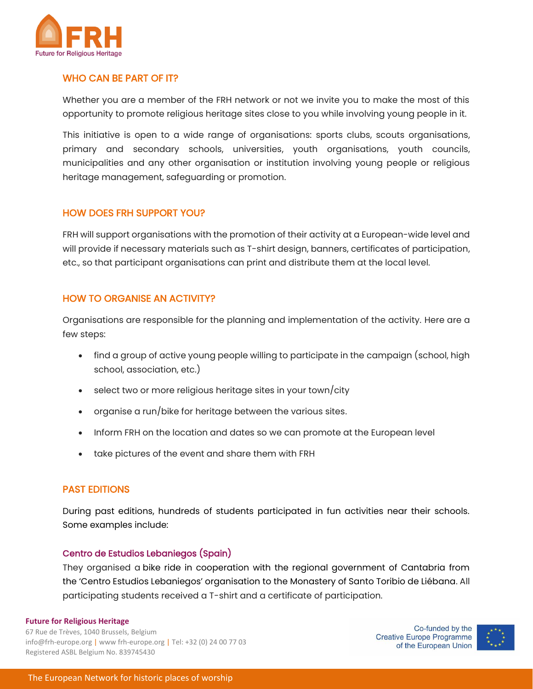

## WHO CAN BE PART OF IT?

Whether you are a member of the FRH network or not we invite you to make the most of this opportunity to promote religious heritage sites close to you while involving young people in it.

This initiative is open to a wide range of organisations: sports clubs, scouts organisations, primary and secondary schools, universities, youth organisations, youth councils, municipalities and any other organisation or institution involving young people or religious heritage management, safeguarding or promotion.

### HOW DOES FRH SUPPORT YOU?

FRH will support organisations with the promotion of their activity at a European-wide level and will provide if necessary materials such as T-shirt design, banners, certificates of participation, etc., so that participant organisations can print and distribute them at the local level.

# HOW TO ORGANISE AN ACTIVITY?

Organisations are responsible for the planning and implementation of the activity. Here are a few steps:

- find a group of active young people willing to participate in the campaign (school, high school, association, etc.)
- select two or more religious heritage sites in your town/city
- organise a run/bike for heritage between the various sites.
- Inform FRH on the location and dates so we can promote at the European level
- take pictures of the event and share them with FRH

### PAST EDITIONS

During past editions, hundreds of students participated in fun activities near their schools. Some examples include:

### Centro de Estudios Lebaniegos (Spain)

They organised a bike ride in cooperation with the regional government of Cantabria from the 'Centro Estudios Lebaniegos' organisation to the Monastery of Santo Toribio de Liébana. All participating students received a T-shirt and a certificate of participation.

#### **Future for Religious Heritage**

67 Rue de Trèves, 1040 Brussels, Belgium info@frh-europe.org | www frh-europe.org | Tel: +32 (0) 24 00 77 03 Registered ASBL Belgium No. 839745430

Co-funded by the Creative Europe Programme of the European Union